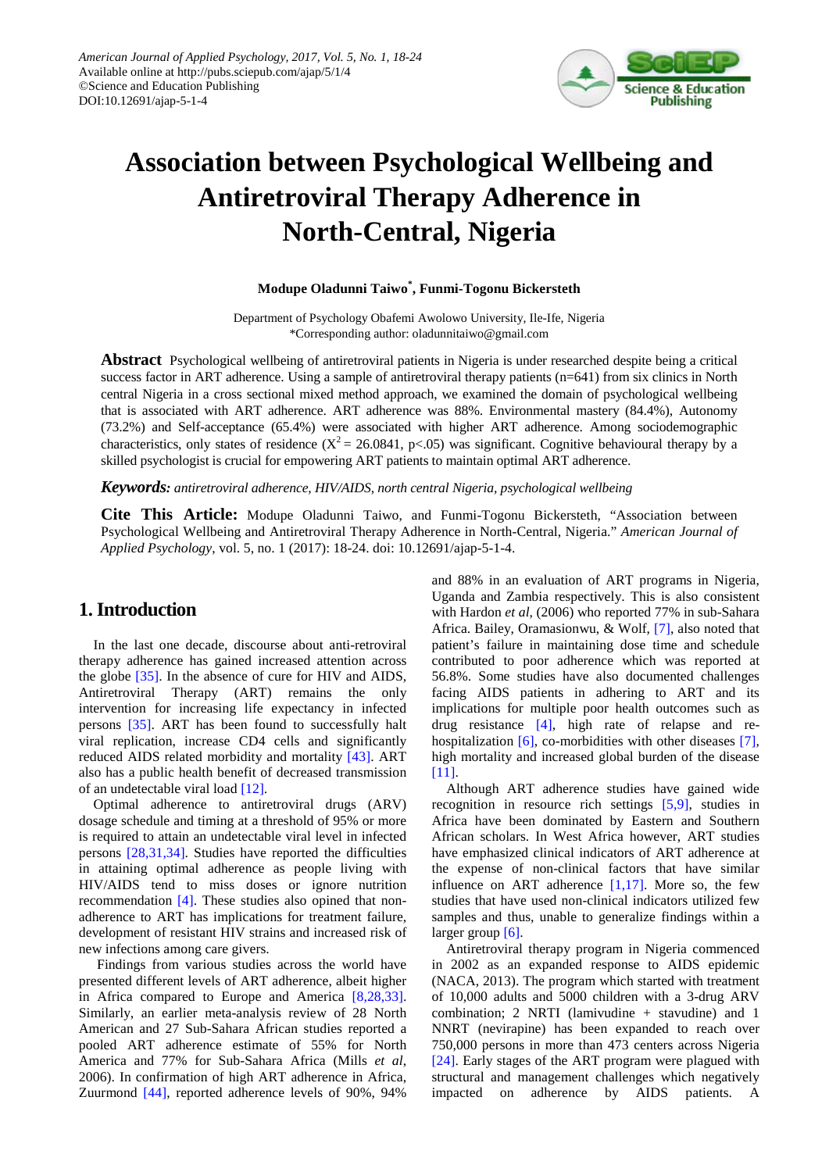

# **Association between Psychological Wellbeing and Antiretroviral Therapy Adherence in North-Central, Nigeria**

#### **Modupe Oladunni Taiwo\* , Funmi-Togonu Bickersteth**

Department of Psychology Obafemi Awolowo University, Ile-Ife, Nigeria \*Corresponding author: oladunnitaiwo@gmail.com

**Abstract** Psychological wellbeing of antiretroviral patients in Nigeria is under researched despite being a critical success factor in ART adherence. Using a sample of antiretroviral therapy patients (n=641) from six clinics in North central Nigeria in a cross sectional mixed method approach, we examined the domain of psychological wellbeing that is associated with ART adherence. ART adherence was 88%. Environmental mastery (84.4%), Autonomy (73.2%) and Self-acceptance (65.4%) were associated with higher ART adherence. Among sociodemographic characteristics, only states of residence  $(X^2 = 26.0841, p<0.05)$  was significant. Cognitive behavioural therapy by a skilled psychologist is crucial for empowering ART patients to maintain optimal ART adherence.

*Keywords: antiretroviral adherence, HIV/AIDS, north central Nigeria, psychological wellbeing*

**Cite This Article:** Modupe Oladunni Taiwo, and Funmi-Togonu Bickersteth, "Association between Psychological Wellbeing and Antiretroviral Therapy Adherence in North-Central, Nigeria." *American Journal of Applied Psychology*, vol. 5, no. 1 (2017): 18-24. doi: 10.12691/ajap-5-1-4.

# **1. Introduction**

In the last one decade, discourse about anti-retroviral therapy adherence has gained increased attention across the globe [\[35\].](#page-6-0) In the absence of cure for HIV and AIDS, Antiretroviral Therapy (ART) remains the only intervention for increasing life expectancy in infected persons [\[35\].](#page-6-0) ART has been found to successfully halt viral replication, increase CD4 cells and significantly reduced AIDS related morbidity and mortality [\[43\].](#page-6-1) ART also has a public health benefit of decreased transmission of an undetectable viral load [\[12\].](#page-6-2)

Optimal adherence to antiretroviral drugs (ARV) dosage schedule and timing at a threshold of 95% or more is required to attain an undetectable viral level in infected persons [\[28,31,34\].](#page-6-3) Studies have reported the difficulties in attaining optimal adherence as people living with HIV/AIDS tend to miss doses or ignore nutrition recommendation [\[4\].](#page-5-0) These studies also opined that nonadherence to ART has implications for treatment failure, development of resistant HIV strains and increased risk of new infections among care givers.

Findings from various studies across the world have presented different levels of ART adherence, albeit higher in Africa compared to Europe and America [\[8,28,33\].](#page-6-4) Similarly, an earlier meta-analysis review of 28 North American and 27 Sub-Sahara African studies reported a pooled ART adherence estimate of 55% for North America and 77% for Sub-Sahara Africa (Mills *et al*, 2006). In confirmation of high ART adherence in Africa, Zuurmond [\[44\],](#page-6-5) reported adherence levels of 90%, 94%

and 88% in an evaluation of ART programs in Nigeria, Uganda and Zambia respectively. This is also consistent with Hardon *et al,* (2006) who reported 77% in sub-Sahara Africa. Bailey, Oramasionwu, & Wolf, [\[7\],](#page-6-6) also noted that patient's failure in maintaining dose time and schedule contributed to poor adherence which was reported at 56.8%. Some studies have also documented challenges facing AIDS patients in adhering to ART and its implications for multiple poor health outcomes such as drug resistance [\[4\],](#page-5-0) high rate of relapse and re-hospitalization [\[6\],](#page-5-1) co-morbidities with other diseases [\[7\],](#page-6-6) high mortality and increased global burden of the disease [\[11\].](#page-6-7)

Although ART adherence studies have gained wide recognition in resource rich settings [\[5,9\],](#page-5-2) studies in Africa have been dominated by Eastern and Southern African scholars. In West Africa however, ART studies have emphasized clinical indicators of ART adherence at the expense of non-clinical factors that have similar influence on ART adherence  $[1,17]$ . More so, the few studies that have used non-clinical indicators utilized few samples and thus, unable to generalize findings within a larger group [\[6\].](#page-5-1)

Antiretroviral therapy program in Nigeria commenced in 2002 as an expanded response to AIDS epidemic (NACA, 2013). The program which started with treatment of 10,000 adults and 5000 children with a 3-drug ARV combination; 2 NRTI (lamivudine + stavudine) and 1 NNRT (nevirapine) has been expanded to reach over 750,000 persons in more than 473 centers across Nigeria [\[24\].](#page-6-8) Early stages of the ART program were plagued with structural and management challenges which negatively impacted on adherence by AIDS patients. A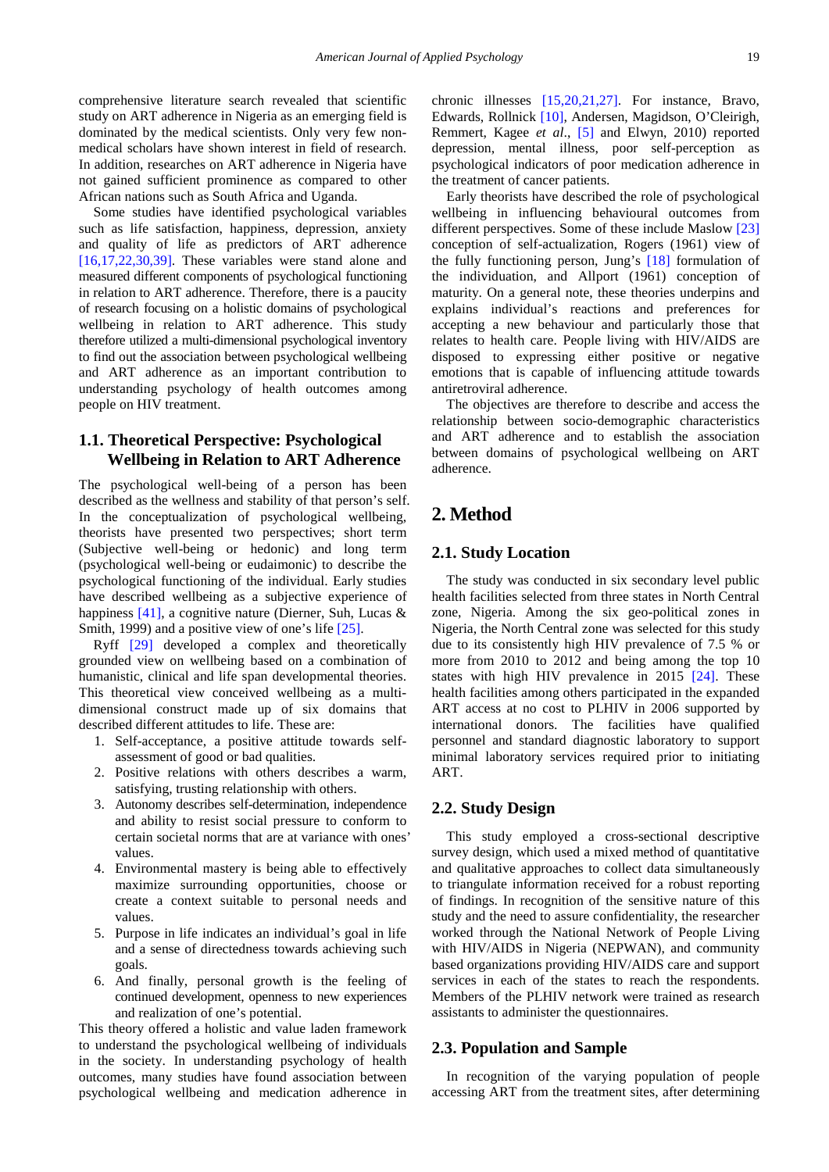comprehensive literature search revealed that scientific study on ART adherence in Nigeria as an emerging field is dominated by the medical scientists. Only very few nonmedical scholars have shown interest in field of research. In addition, researches on ART adherence in Nigeria have not gained sufficient prominence as compared to other African nations such as South Africa and Uganda.

Some studies have identified psychological variables such as life satisfaction, happiness, depression, anxiety and quality of life as predictors of ART adherence [\[16,17,22,30,39\].](#page-6-9) These variables were stand alone and measured different components of psychological functioning in relation to ART adherence. Therefore, there is a paucity of research focusing on a holistic domains of psychological wellbeing in relation to ART adherence. This study therefore utilized a multi-dimensional psychological inventory to find out the association between psychological wellbeing and ART adherence as an important contribution to understanding psychology of health outcomes among people on HIV treatment.

## **1.1. Theoretical Perspective: Psychological Wellbeing in Relation to ART Adherence**

The psychological well-being of a person has been described as the wellness and stability of that person's self. In the conceptualization of psychological wellbeing, theorists have presented two perspectives; short term (Subjective well-being or hedonic) and long term (psychological well-being or eudaimonic) to describe the psychological functioning of the individual. Early studies have described wellbeing as a subjective experience of happiness [\[41\],](#page-6-10) a cognitive nature (Dierner, Suh, Lucas & Smith, 1999) and a positive view of one's life [\[25\].](#page-6-11)

Ryff [\[29\]](#page-6-12) developed a complex and theoretically grounded view on wellbeing based on a combination of humanistic, clinical and life span developmental theories. This theoretical view conceived wellbeing as a multidimensional construct made up of six domains that described different attitudes to life. These are:

- 1. Self-acceptance, a positive attitude towards selfassessment of good or bad qualities.
- 2. Positive relations with others describes a warm, satisfying, trusting relationship with others.
- 3. Autonomy describes self-determination, independence and ability to resist social pressure to conform to certain societal norms that are at variance with ones' values.
- 4. Environmental mastery is being able to effectively maximize surrounding opportunities, choose or create a context suitable to personal needs and values.
- 5. Purpose in life indicates an individual's goal in life and a sense of directedness towards achieving such goals.
- 6. And finally, personal growth is the feeling of continued development, openness to new experiences and realization of one's potential.

This theory offered a holistic and value laden framework to understand the psychological wellbeing of individuals in the society. In understanding psychology of health outcomes, many studies have found association between psychological wellbeing and medication adherence in chronic illnesses [\[15,20,21,27\].](#page-6-13) For instance, Bravo, Edwards, Rollnick [\[10\],](#page-6-14) Andersen, Magidson, O'Cleirigh, Remmert, Kagee *et al*., [\[5\]](#page-5-2) and Elwyn, 2010) reported depression, mental illness, poor self-perception as psychological indicators of poor medication adherence in the treatment of cancer patients.

Early theorists have described the role of psychological wellbeing in influencing behavioural outcomes from different perspectives. Some of these include Maslow [\[23\]](#page-6-15) conception of self-actualization, Rogers (1961) view of the fully functioning person, Jung's [\[18\]](#page-6-16) formulation of the individuation, and Allport (1961) conception of maturity. On a general note, these theories underpins and explains individual's reactions and preferences for accepting a new behaviour and particularly those that relates to health care. People living with HIV/AIDS are disposed to expressing either positive or negative emotions that is capable of influencing attitude towards antiretroviral adherence.

The objectives are therefore to describe and access the relationship between socio-demographic characteristics and ART adherence and to establish the association between domains of psychological wellbeing on ART adherence.

# **2. Method**

#### **2.1. Study Location**

The study was conducted in six secondary level public health facilities selected from three states in North Central zone, Nigeria. Among the six geo-political zones in Nigeria, the North Central zone was selected for this study due to its consistently high HIV prevalence of 7.5 % or more from 2010 to 2012 and being among the top 10 states with high HIV prevalence in 2015 [\[24\].](#page-6-8) These health facilities among others participated in the expanded ART access at no cost to PLHIV in 2006 supported by international donors. The facilities have qualified personnel and standard diagnostic laboratory to support minimal laboratory services required prior to initiating ART.

#### **2.2. Study Design**

This study employed a cross-sectional descriptive survey design, which used a mixed method of quantitative and qualitative approaches to collect data simultaneously to triangulate information received for a robust reporting of findings. In recognition of the sensitive nature of this study and the need to assure confidentiality, the researcher worked through the National Network of People Living with HIV/AIDS in Nigeria (NEPWAN), and community based organizations providing HIV/AIDS care and support services in each of the states to reach the respondents. Members of the PLHIV network were trained as research assistants to administer the questionnaires.

#### **2.3. Population and Sample**

In recognition of the varying population of people accessing ART from the treatment sites, after determining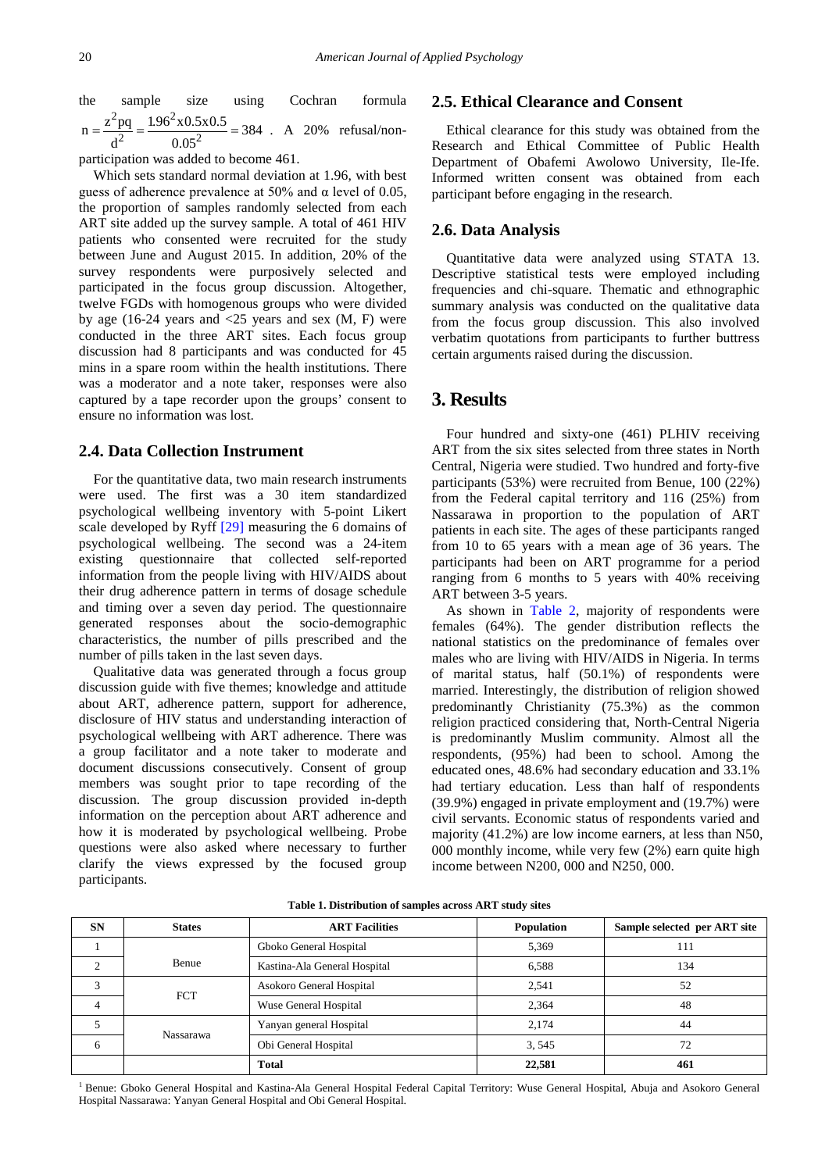the sample size using Cochran formula  $^{2}$  2  $^{2}$  106<sup>2</sup>  $n = \frac{z^2 pq}{d^2} = \frac{1.96^2 \times 0.5 \times 0.5}{0.05^2} = 384$  . A 20% refusal/non-

participation was added to become 461.

Which sets standard normal deviation at 1.96, with best guess of adherence prevalence at 50% and  $\alpha$  level of 0.05, the proportion of samples randomly selected from each ART site added up the survey sample. A total of 461 HIV patients who consented were recruited for the study between June and August 2015. In addition, 20% of the survey respondents were purposively selected and participated in the focus group discussion. Altogether, twelve FGDs with homogenous groups who were divided by age (16-24 years and  $\langle 25 \rangle$  years and sex (M, F) were conducted in the three ART sites. Each focus group discussion had 8 participants and was conducted for 45 mins in a spare room within the health institutions. There was a moderator and a note taker, responses were also captured by a tape recorder upon the groups' consent to ensure no information was lost.

#### **2.4. Data Collection Instrument**

For the quantitative data, two main research instruments were used. The first was a 30 item standardized psychological wellbeing inventory with 5-point Likert scale developed by Ryff [\[29\]](#page-6-12) measuring the 6 domains of psychological wellbeing. The second was a 24-item existing questionnaire that collected self-reported information from the people living with HIV/AIDS about their drug adherence pattern in terms of dosage schedule and timing over a seven day period. The questionnaire generated responses about the socio-demographic characteristics, the number of pills prescribed and the number of pills taken in the last seven days.

Qualitative data was generated through a focus group discussion guide with five themes; knowledge and attitude about ART, adherence pattern, support for adherence, disclosure of HIV status and understanding interaction of psychological wellbeing with ART adherence. There was a group facilitator and a note taker to moderate and document discussions consecutively. Consent of group members was sought prior to tape recording of the discussion. The group discussion provided in-depth information on the perception about ART adherence and how it is moderated by psychological wellbeing. Probe questions were also asked where necessary to further clarify the views expressed by the focused group participants.

#### **2.5. Ethical Clearance and Consent**

Ethical clearance for this study was obtained from the Research and Ethical Committee of Public Health Department of Obafemi Awolowo University, Ile-Ife. Informed written consent was obtained from each participant before engaging in the research.

#### **2.6. Data Analysis**

Quantitative data were analyzed using STATA 13. Descriptive statistical tests were employed including frequencies and chi-square. Thematic and ethnographic summary analysis was conducted on the qualitative data from the focus group discussion. This also involved verbatim quotations from participants to further buttress certain arguments raised during the discussion.

## **3. Results**

Four hundred and sixty-one (461) PLHIV receiving ART from the six sites selected from three states in North Central, Nigeria were studied. Two hundred and forty-five participants (53%) were recruited from Benue, 100 (22%) from the Federal capital territory and 116 (25%) from Nassarawa in proportion to the population of ART patients in each site. The ages of these participants ranged from 10 to 65 years with a mean age of 36 years. The participants had been on ART programme for a period ranging from 6 months to 5 years with 40% receiving ART between 3-5 years.

As shown in [Table 2,](#page-3-0) majority of respondents were females (64%). The gender distribution reflects the national statistics on the predominance of females over males who are living with HIV/AIDS in Nigeria. In terms of marital status, half (50.1%) of respondents were married. Interestingly, the distribution of religion showed predominantly Christianity (75.3%) as the common religion practiced considering that, North-Central Nigeria is predominantly Muslim community. Almost all the respondents, (95%) had been to school. Among the educated ones, 48.6% had secondary education and 33.1% had tertiary education. Less than half of respondents (39.9%) engaged in private employment and (19.7%) were civil servants. Economic status of respondents varied and majority (41.2%) are low income earners, at less than N50, 000 monthly income, while very few (2%) earn quite high income between N200, 000 and N250, 000.

| <b>SN</b> | <b>States</b> | <b>ART Facilities</b><br><b>Population</b> |        | Sample selected per ART site |  |
|-----------|---------------|--------------------------------------------|--------|------------------------------|--|
|           |               | Gboko General Hospital                     | 5,369  | 111                          |  |
| ◠         | Benue         | Kastina-Ala General Hospital               | 6,588  | 134                          |  |
|           | <b>FCT</b>    | Asokoro General Hospital                   | 2.541  | 52                           |  |
|           |               | Wuse General Hospital                      | 2,364  | 48                           |  |
|           | Nassarawa     | Yanyan general Hospital                    | 2.174  | 44                           |  |
| 6         |               | Obi General Hospital                       | 3,545  | 72                           |  |
|           |               | <b>Total</b>                               | 22,581 | 461                          |  |

**Table 1. Distribution of samples across ART study sites**

<sup>1</sup> Benue: Gboko General Hospital and Kastina-Ala General Hospital Federal Capital Territory: Wuse General Hospital, Abuja and Asokoro General Hospital Nassarawa: Yanyan General Hospital and Obi General Hospital.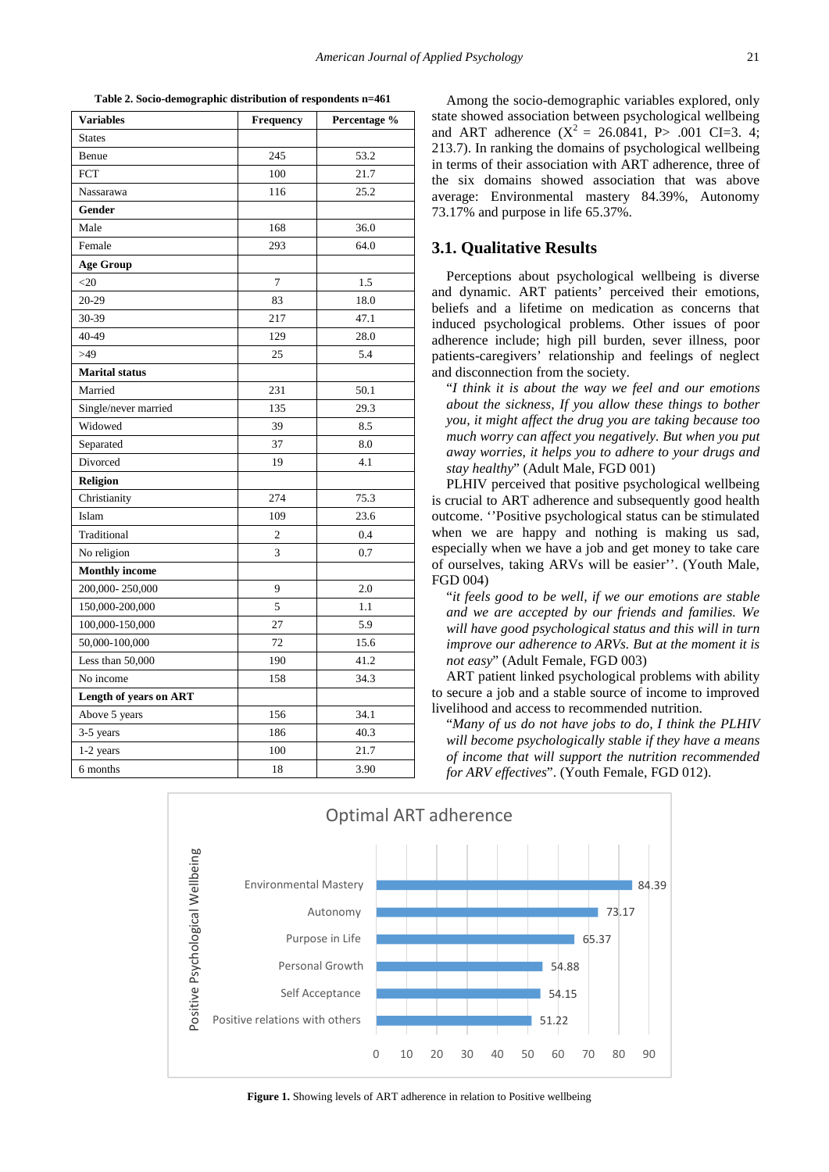**Table 2. Socio-demographic distribution of respondents n=461**

<span id="page-3-0"></span>

| <b>Variables</b>       | Frequency      | Percentage % |  |
|------------------------|----------------|--------------|--|
| <b>States</b>          |                |              |  |
| Benue                  | 245            | 53.2         |  |
| <b>FCT</b>             | 100            | 21.7         |  |
| Nassarawa              | 116            | 25.2         |  |
| Gender                 |                |              |  |
| Male                   | 168            | 36.0         |  |
| Female                 | 293            | 64.0         |  |
| <b>Age Group</b>       |                |              |  |
| $<$ 20                 | $\overline{7}$ | 1.5          |  |
| $20 - 29$              | 83             | 18.0         |  |
| 30-39                  | 217            | 47.1         |  |
| 40-49                  | 129            | 28.0         |  |
| >49                    | 25             | 5.4          |  |
| <b>Marital</b> status  |                |              |  |
| Married                | 231            | 50.1         |  |
| Single/never married   | 135            | 29.3         |  |
| Widowed                | 39             | 8.5          |  |
| Separated              | 37             | 8.0          |  |
| Divorced               | 19             | 4.1          |  |
| <b>Religion</b>        |                |              |  |
| Christianity           | 274            | 75.3         |  |
| Islam                  | 109            | 23.6         |  |
| Traditional            | $\overline{c}$ | 0.4          |  |
| No religion            | $\overline{3}$ | 0.7          |  |
| <b>Monthly income</b>  |                |              |  |
| 200,000-250,000        | 9              | 2.0          |  |
| 150,000-200,000        | 5              | 1.1          |  |
| 100,000-150,000        | 27             | 5.9          |  |
| 50,000-100,000         | 72             | 15.6         |  |
| Less than 50,000       | 190            | 41.2         |  |
| No income              | 158            | 34.3         |  |
| Length of years on ART |                |              |  |
| Above 5 years          | 156            | 34.1         |  |
| 3-5 years              | 186            | 40.3         |  |
| 1-2 years              | 100            | 21.7         |  |
| 6 months               | 18             | 3.90         |  |

Among the socio-demographic variables explored, only state showed association between psychological wellbeing and ART adherence  $(X^2 = 26.0841, P > .001 \text{ CI} = 3.4;$ 213.7). In ranking the domains of psychological wellbeing in terms of their association with ART adherence, three of the six domains showed association that was above average: Environmental mastery 84.39%, Autonomy 73.17% and purpose in life 65.37%.

#### **3.1. Qualitative Results**

Perceptions about psychological wellbeing is diverse and dynamic. ART patients' perceived their emotions, beliefs and a lifetime on medication as concerns that induced psychological problems. Other issues of poor adherence include; high pill burden, sever illness, poor patients-caregivers' relationship and feelings of neglect and disconnection from the society.

"*I think it is about the way we feel and our emotions about the sickness, If you allow these things to bother you, it might affect the drug you are taking because too much worry can affect you negatively. But when you put away worries, it helps you to adhere to your drugs and stay healthy*" (Adult Male, FGD 001)

PLHIV perceived that positive psychological wellbeing is crucial to ART adherence and subsequently good health outcome. ''Positive psychological status can be stimulated when we are happy and nothing is making us sad, especially when we have a job and get money to take care of ourselves, taking ARVs will be easier''. (Youth Male, FGD 004)

"*it feels good to be well, if we our emotions are stable and we are accepted by our friends and families. We will have good psychological status and this will in turn improve our adherence to ARVs. But at the moment it is not easy*" (Adult Female, FGD 003)

ART patient linked psychological problems with ability to secure a job and a stable source of income to improved livelihood and access to recommended nutrition.

"*Many of us do not have jobs to do, I think the PLHIV will become psychologically stable if they have a means of income that will support the nutrition recommended for ARV effectives*". (Youth Female, FGD 012).



Figure 1. Showing levels of ART adherence in relation to Positive wellbeing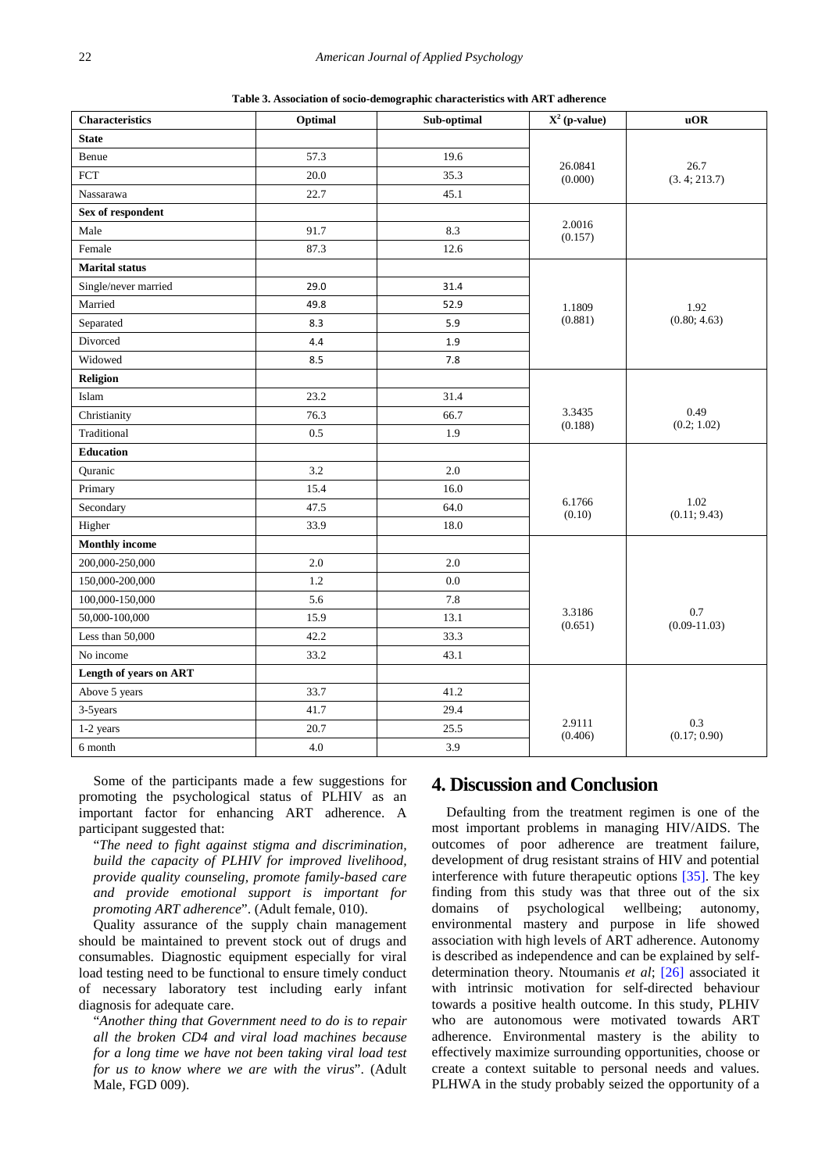**Table 3. Association of socio-demographic characteristics with ART adherence**

| <b>Characteristics</b>      | Optimal | Sub-optimal | $X^2$ (p-value)   | uOR                     |
|-----------------------------|---------|-------------|-------------------|-------------------------|
| <b>State</b>                |         |             |                   |                         |
| Benue                       | 57.3    | 19.6        | 26.0841           |                         |
| $\ensuremath{\mathsf{FCT}}$ | 20.0    | 35.3        | (0.000)           | 26.7<br>(3.4; 213.7)    |
| Nassarawa                   | 22.7    | 45.1        |                   |                         |
| Sex of respondent           |         |             |                   |                         |
| Male                        | 91.7    | 8.3         | 2.0016<br>(0.157) |                         |
| Female                      | 87.3    | 12.6        |                   |                         |
| <b>Marital</b> status       |         |             |                   | 1.92<br>(0.80; 4.63)    |
| Single/never married        | 29.0    | 31.4        |                   |                         |
| Married                     | 49.8    | 52.9        | 1.1809            |                         |
| Separated                   | 8.3     | 5.9         | (0.881)           |                         |
| Divorced                    | 4.4     | 1.9         |                   |                         |
| Widowed                     | 8.5     | 7.8         |                   |                         |
| Religion                    |         |             |                   | 0.49                    |
| Islam                       | 23.2    | 31.4        |                   |                         |
| Christianity                | 76.3    | 66.7        | 3.3435            |                         |
| Traditional                 | 0.5     | 1.9         | (0.188)           | (0.2; 1.02)             |
| <b>Education</b>            |         |             |                   |                         |
| Quranic                     | 3.2     | 2.0         |                   |                         |
| Primary                     | 15.4    | 16.0        |                   |                         |
| Secondary                   | 47.5    | 64.0        | 6.1766<br>(0.10)  | 1.02<br>(0.11; 9.43)    |
| Higher                      | 33.9    | 18.0        |                   |                         |
| <b>Monthly income</b>       |         |             |                   |                         |
| 200,000-250,000             | 2.0     | 2.0         |                   |                         |
| 150,000-200,000             | 1.2     | 0.0         |                   |                         |
| 100,000-150,000             | 5.6     | 7.8         |                   |                         |
| 50,000-100,000              | 15.9    | 13.1        | 3.3186<br>(0.651) | 0.7<br>$(0.09 - 11.03)$ |
| Less than 50,000            | 42.2    | 33.3        |                   |                         |
| No income                   | 33.2    | 43.1        |                   |                         |
| Length of years on ART      |         |             |                   |                         |
| Above 5 years               | 33.7    | 41.2        |                   |                         |
| 3-5years                    | 41.7    | 29.4        |                   |                         |
| 1-2 years                   | 20.7    | 25.5        | 2.9111<br>(0.406) | 0.3<br>(0.17; 0.90)     |
| 6 month                     | 4.0     | 3.9         |                   |                         |

Some of the participants made a few suggestions for promoting the psychological status of PLHIV as an important factor for enhancing ART adherence. A participant suggested that:

"*The need to fight against stigma and discrimination, build the capacity of PLHIV for improved livelihood, provide quality counseling, promote family-based care and provide emotional support is important for promoting ART adherence*". (Adult female, 010).

Quality assurance of the supply chain management should be maintained to prevent stock out of drugs and consumables. Diagnostic equipment especially for viral load testing need to be functional to ensure timely conduct of necessary laboratory test including early infant diagnosis for adequate care.

"*Another thing that Government need to do is to repair all the broken CD4 and viral load machines because for a long time we have not been taking viral load test for us to know where we are with the virus*". (Adult Male, FGD 009).

# **4. Discussion and Conclusion**

Defaulting from the treatment regimen is one of the most important problems in managing HIV/AIDS. The outcomes of poor adherence are treatment failure, development of drug resistant strains of HIV and potential interference with future therapeutic options [\[35\].](#page-6-0) The key finding from this study was that three out of the six domains of psychological wellbeing; autonomy, domains of psychological wellbeing; autonomy, environmental mastery and purpose in life showed association with high levels of ART adherence. Autonomy is described as independence and can be explained by selfdetermination theory. Ntoumanis *et al*; [\[26\]](#page-6-17) associated it with intrinsic motivation for self-directed behaviour towards a positive health outcome. In this study, PLHIV who are autonomous were motivated towards ART adherence. Environmental mastery is the ability to effectively maximize surrounding opportunities, choose or create a context suitable to personal needs and values. PLHWA in the study probably seized the opportunity of a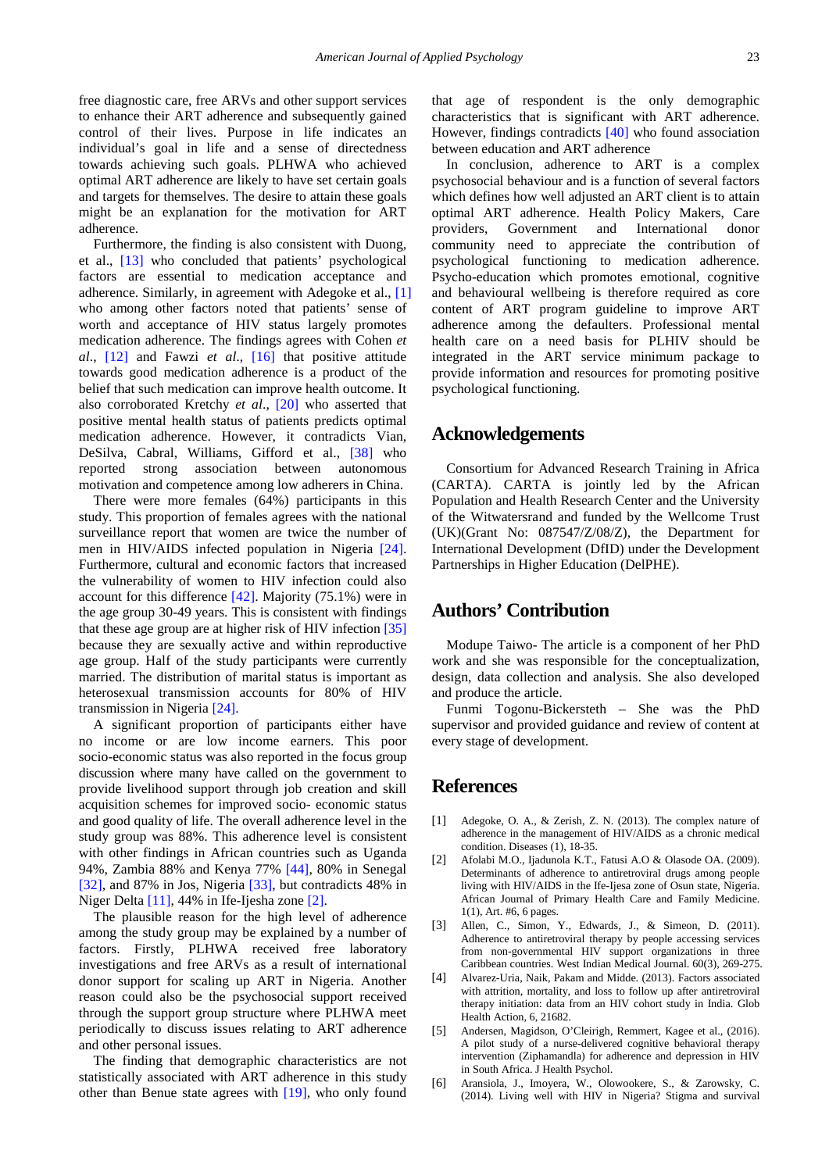free diagnostic care, free ARVs and other support services to enhance their ART adherence and subsequently gained control of their lives. Purpose in life indicates an individual's goal in life and a sense of directedness towards achieving such goals. PLHWA who achieved optimal ART adherence are likely to have set certain goals and targets for themselves. The desire to attain these goals might be an explanation for the motivation for ART adherence.

Furthermore, the finding is also consistent with Duong, et al., [\[13\]](#page-6-18) who concluded that patients' psychological factors are essential to medication acceptance and adherence. Similarly, in agreement with Adegoke et al., [\[1\]](#page-5-3) who among other factors noted that patients' sense of worth and acceptance of HIV status largely promotes medication adherence. The findings agrees with Cohen *et al*., [\[12\]](#page-6-2) and Fawzi *et al*., [\[16\]](#page-6-9) that positive attitude towards good medication adherence is a product of the belief that such medication can improve health outcome. It also corroborated Kretchy *et al*., [\[20\]](#page-6-19) who asserted that positive mental health status of patients predicts optimal medication adherence. However, it contradicts Vian, DeSilva, Cabral, Williams, Gifford et al., [\[38\]](#page-6-20) who reported strong association between autonomous motivation and competence among low adherers in China.

There were more females (64%) participants in this study. This proportion of females agrees with the national surveillance report that women are twice the number of men in HIV/AIDS infected population in Nigeria [\[24\].](#page-6-8) Furthermore, cultural and economic factors that increased the vulnerability of women to HIV infection could also account for this difference  $[42]$ . Majority (75.1%) were in the age group 30-49 years. This is consistent with findings that these age group are at higher risk of HIV infection [\[35\]](#page-6-0) because they are sexually active and within reproductive age group. Half of the study participants were currently married. The distribution of marital status is important as heterosexual transmission accounts for 80% of HIV transmission in Nigeria [\[24\].](#page-6-8)

A significant proportion of participants either have no income or are low income earners. This poor socio-economic status was also reported in the focus group discussion where many have called on the government to provide livelihood support through job creation and skill acquisition schemes for improved socio- economic status and good quality of life. The overall adherence level in the study group was 88%. This adherence level is consistent with other findings in African countries such as Uganda 94%, Zambia 88% and Kenya 77% [\[44\],](#page-6-5) 80% in Senegal [\[32\],](#page-6-22) and 87% in Jos, Nigeria [\[33\],](#page-6-23) but contradicts 48% in Niger Delta [\[11\],](#page-6-7) 44% in Ife-Ijesha zone [\[2\].](#page-5-4)

The plausible reason for the high level of adherence among the study group may be explained by a number of factors. Firstly, PLHWA received free laboratory investigations and free ARVs as a result of international donor support for scaling up ART in Nigeria. Another reason could also be the psychosocial support received through the support group structure where PLHWA meet periodically to discuss issues relating to ART adherence and other personal issues.

The finding that demographic characteristics are not statistically associated with ART adherence in this study other than Benue state agrees with [\[19\],](#page-6-24) who only found that age of respondent is the only demographic characteristics that is significant with ART adherence. However, findings contradicts [\[40\]](#page-6-25) who found association between education and ART adherence

In conclusion, adherence to ART is a complex psychosocial behaviour and is a function of several factors which defines how well adjusted an ART client is to attain optimal ART adherence. Health Policy Makers, Care providers, Government and International donor community need to appreciate the contribution of psychological functioning to medication adherence. Psycho-education which promotes emotional, cognitive and behavioural wellbeing is therefore required as core content of ART program guideline to improve ART adherence among the defaulters. Professional mental health care on a need basis for PLHIV should be integrated in the ART service minimum package to provide information and resources for promoting positive psychological functioning.

## **Acknowledgements**

Consortium for Advanced Research Training in Africa (CARTA). CARTA is jointly led by the African Population and Health Research Center and the University of the Witwatersrand and funded by the Wellcome Trust (UK)(Grant No: 087547/Z/08/Z), the Department for International Development (DfID) under the Development Partnerships in Higher Education (DelPHE).

# **Authors' Contribution**

Modupe Taiwo- The article is a component of her PhD work and she was responsible for the conceptualization, design, data collection and analysis. She also developed and produce the article.

Funmi Togonu-Bickersteth – She was the PhD supervisor and provided guidance and review of content at every stage of development.

# **References**

- <span id="page-5-3"></span>[1] Adegoke, O. A., & Zerish, Z. N. (2013). The complex nature of adherence in the management of HIV/AIDS as a chronic medical condition. Diseases (1), 18-35.
- <span id="page-5-4"></span>[2] Afolabi M.O., Ijadunola K.T., Fatusi A.O & Olasode OA. (2009). Determinants of adherence to antiretroviral drugs among people living with HIV/AIDS in the Ife-Ijesa zone of Osun state, Nigeria. African Journal of Primary Health Care and Family Medicine. 1(1), Art. #6, 6 pages.
- [3] Allen, C., Simon, Y., Edwards, J., & Simeon, D. (2011). Adherence to antiretroviral therapy by people accessing services from non-governmental HIV support organizations in three Caribbean countries. West Indian Medical Journal. 60(3), 269-275.
- <span id="page-5-0"></span>[4] Alvarez-Uria, Naik, Pakam and Midde. (2013). Factors associated with attrition, mortality, and loss to follow up after antiretroviral therapy initiation: data from an HIV cohort study in India. Glob Health Action, 6, 21682.
- <span id="page-5-2"></span>[5] Andersen, Magidson, O'Cleirigh, Remmert, Kagee et al., (2016). A pilot study of a nurse-delivered cognitive behavioral therapy intervention (Ziphamandla) for adherence and depression in HIV in South Africa. J Health Psychol.
- <span id="page-5-1"></span>[6] Aransiola, J., Imoyera, W., Olowookere, S., & Zarowsky, C. (2014). Living well with HIV in Nigeria? Stigma and survival